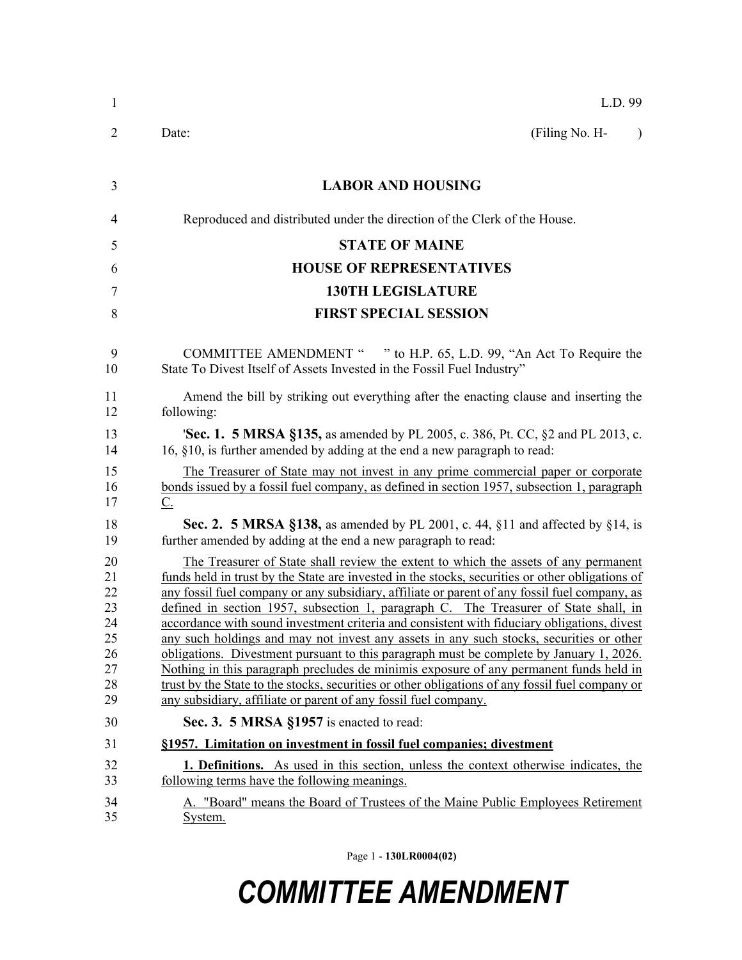| $\mathbf{1}$                                             | L.D. 99                                                                                                                                                                                                                                                                                                                                                                                                                                                                                                                                                                                                                                                                                                                                                                                                                                                                                                                              |
|----------------------------------------------------------|--------------------------------------------------------------------------------------------------------------------------------------------------------------------------------------------------------------------------------------------------------------------------------------------------------------------------------------------------------------------------------------------------------------------------------------------------------------------------------------------------------------------------------------------------------------------------------------------------------------------------------------------------------------------------------------------------------------------------------------------------------------------------------------------------------------------------------------------------------------------------------------------------------------------------------------|
| 2                                                        | (Filing No. H-<br>Date:<br>$\lambda$                                                                                                                                                                                                                                                                                                                                                                                                                                                                                                                                                                                                                                                                                                                                                                                                                                                                                                 |
| 3                                                        | <b>LABOR AND HOUSING</b>                                                                                                                                                                                                                                                                                                                                                                                                                                                                                                                                                                                                                                                                                                                                                                                                                                                                                                             |
| 4                                                        | Reproduced and distributed under the direction of the Clerk of the House.                                                                                                                                                                                                                                                                                                                                                                                                                                                                                                                                                                                                                                                                                                                                                                                                                                                            |
| 5                                                        | <b>STATE OF MAINE</b>                                                                                                                                                                                                                                                                                                                                                                                                                                                                                                                                                                                                                                                                                                                                                                                                                                                                                                                |
| 6                                                        | <b>HOUSE OF REPRESENTATIVES</b>                                                                                                                                                                                                                                                                                                                                                                                                                                                                                                                                                                                                                                                                                                                                                                                                                                                                                                      |
| 7                                                        | <b>130TH LEGISLATURE</b>                                                                                                                                                                                                                                                                                                                                                                                                                                                                                                                                                                                                                                                                                                                                                                                                                                                                                                             |
| 8                                                        | <b>FIRST SPECIAL SESSION</b>                                                                                                                                                                                                                                                                                                                                                                                                                                                                                                                                                                                                                                                                                                                                                                                                                                                                                                         |
|                                                          |                                                                                                                                                                                                                                                                                                                                                                                                                                                                                                                                                                                                                                                                                                                                                                                                                                                                                                                                      |
| 9<br>10                                                  | COMMITTEE AMENDMENT " " to H.P. 65, L.D. 99, "An Act To Require the<br>State To Divest Itself of Assets Invested in the Fossil Fuel Industry"                                                                                                                                                                                                                                                                                                                                                                                                                                                                                                                                                                                                                                                                                                                                                                                        |
| 11<br>12                                                 | Amend the bill by striking out everything after the enacting clause and inserting the<br>following:                                                                                                                                                                                                                                                                                                                                                                                                                                                                                                                                                                                                                                                                                                                                                                                                                                  |
| 13<br>14                                                 | <b>Sec. 1. 5 MRSA §135, as amended by PL 2005, c. 386, Pt. CC, §2 and PL 2013, c.</b><br>16, §10, is further amended by adding at the end a new paragraph to read:                                                                                                                                                                                                                                                                                                                                                                                                                                                                                                                                                                                                                                                                                                                                                                   |
| 15<br>16<br>17                                           | The Treasurer of State may not invest in any prime commercial paper or corporate<br>bonds issued by a fossil fuel company, as defined in section 1957, subsection 1, paragraph<br>$\underline{C}$ .                                                                                                                                                                                                                                                                                                                                                                                                                                                                                                                                                                                                                                                                                                                                  |
| 18<br>19                                                 | Sec. 2. 5 MRSA §138, as amended by PL 2001, c. 44, §11 and affected by §14, is<br>further amended by adding at the end a new paragraph to read:                                                                                                                                                                                                                                                                                                                                                                                                                                                                                                                                                                                                                                                                                                                                                                                      |
| 20<br>21<br>22<br>23<br>24<br>25<br>26<br>27<br>28<br>29 | The Treasurer of State shall review the extent to which the assets of any permanent<br>funds held in trust by the State are invested in the stocks, securities or other obligations of<br>any fossil fuel company or any subsidiary, affiliate or parent of any fossil fuel company, as<br>defined in section 1957, subsection 1, paragraph C. The Treasurer of State shall, in<br>accordance with sound investment criteria and consistent with fiduciary obligations, divest<br>any such holdings and may not invest any assets in any such stocks, securities or other<br>obligations. Divestment pursuant to this paragraph must be complete by January 1, 2026.<br>Nothing in this paragraph precludes de minimis exposure of any permanent funds held in<br>trust by the State to the stocks, securities or other obligations of any fossil fuel company or<br>any subsidiary, affiliate or parent of any fossil fuel company. |
| 30                                                       | Sec. 3. 5 MRSA §1957 is enacted to read:                                                                                                                                                                                                                                                                                                                                                                                                                                                                                                                                                                                                                                                                                                                                                                                                                                                                                             |
| 31                                                       | §1957. Limitation on investment in fossil fuel companies; divestment                                                                                                                                                                                                                                                                                                                                                                                                                                                                                                                                                                                                                                                                                                                                                                                                                                                                 |
| 32<br>33                                                 | <b>1. Definitions.</b> As used in this section, unless the context otherwise indicates, the<br>following terms have the following meanings.                                                                                                                                                                                                                                                                                                                                                                                                                                                                                                                                                                                                                                                                                                                                                                                          |
| 34<br>35                                                 | A. "Board" means the Board of Trustees of the Maine Public Employees Retirement<br>System.                                                                                                                                                                                                                                                                                                                                                                                                                                                                                                                                                                                                                                                                                                                                                                                                                                           |

Page 1 - **130LR0004(02)**

# *COMMITTEE AMENDMENT*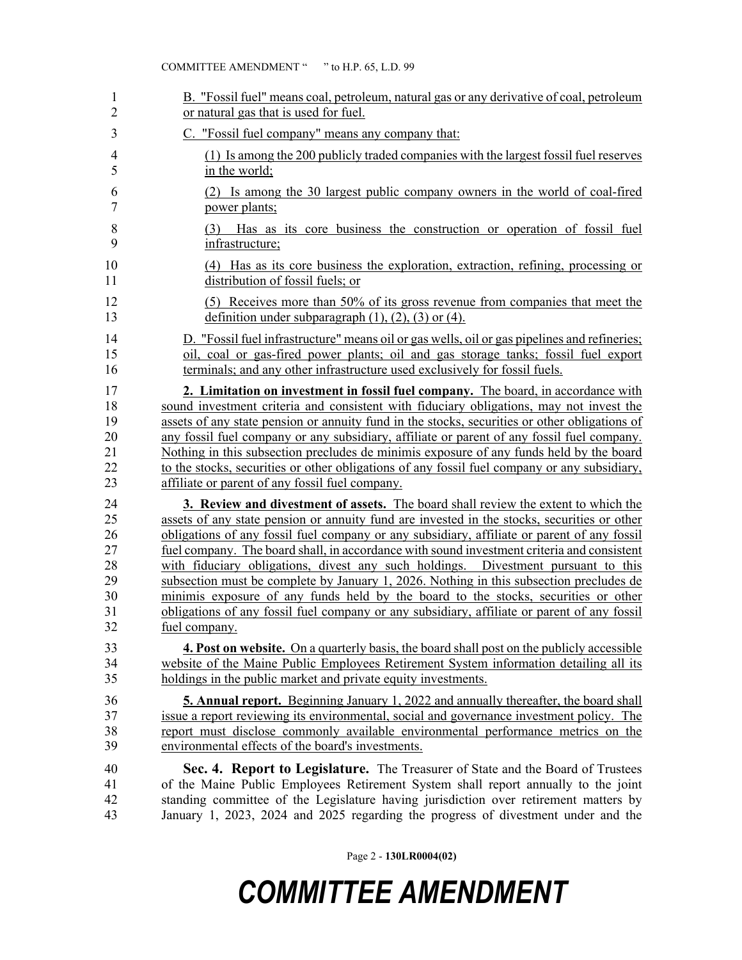| 1  | B. "Fossil fuel" means coal, petroleum, natural gas or any derivative of coal, petroleum      |
|----|-----------------------------------------------------------------------------------------------|
| 2  | or natural gas that is used for fuel.                                                         |
| 3  | C. "Fossil fuel company" means any company that:                                              |
| 4  | (1) Is among the 200 publicly traded companies with the largest fossil fuel reserves          |
| 5  | in the world;                                                                                 |
| 6  | (2) Is among the 30 largest public company owners in the world of coal-fired                  |
| 7  | power plants;                                                                                 |
| 8  | (3) Has as its core business the construction or operation of fossil fuel                     |
| 9  | infrastructure;                                                                               |
| 10 | (4) Has as its core business the exploration, extraction, refining, processing or             |
| 11 | distribution of fossil fuels; or                                                              |
| 12 | (5) Receives more than 50% of its gross revenue from companies that meet the                  |
| 13 | definition under subparagraph $(1)$ , $(2)$ , $(3)$ or $(4)$ .                                |
| 14 | D. "Fossil fuel infrastructure" means oil or gas wells, oil or gas pipelines and refineries;  |
| 15 | oil, coal or gas-fired power plants; oil and gas storage tanks; fossil fuel export            |
| 16 | terminals; and any other infrastructure used exclusively for fossil fuels.                    |
| 17 | 2. Limitation on investment in fossil fuel company. The board, in accordance with             |
| 18 | sound investment criteria and consistent with fiduciary obligations, may not invest the       |
| 19 | assets of any state pension or annuity fund in the stocks, securities or other obligations of |
| 20 | any fossil fuel company or any subsidiary, affiliate or parent of any fossil fuel company.    |
| 21 | Nothing in this subsection precludes de minimis exposure of any funds held by the board       |
| 22 | to the stocks, securities or other obligations of any fossil fuel company or any subsidiary,  |
| 23 | affiliate or parent of any fossil fuel company.                                               |
| 24 | 3. Review and divestment of assets. The board shall review the extent to which the            |
| 25 | assets of any state pension or annuity fund are invested in the stocks, securities or other   |
| 26 | obligations of any fossil fuel company or any subsidiary, affiliate or parent of any fossil   |
| 27 | fuel company. The board shall, in accordance with sound investment criteria and consistent    |
| 28 | with fiduciary obligations, divest any such holdings. Divestment pursuant to this             |
| 29 | subsection must be complete by January 1, 2026. Nothing in this subsection precludes de       |
| 30 | minimis exposure of any funds held by the board to the stocks, securities or other            |
| 31 | obligations of any fossil fuel company or any subsidiary, affiliate or parent of any fossil   |
| 32 | fuel company.                                                                                 |
| 33 | 4. Post on website. On a quarterly basis, the board shall post on the publicly accessible     |
| 34 | website of the Maine Public Employees Retirement System information detailing all its         |
| 35 | holdings in the public market and private equity investments.                                 |
| 36 | <b>5. Annual report.</b> Beginning January 1, 2022 and annually thereafter, the board shall   |
| 37 | issue a report reviewing its environmental, social and governance investment policy. The      |
| 38 | report must disclose commonly available environmental performance metrics on the              |
| 39 | environmental effects of the board's investments.                                             |
| 40 | Sec. 4. Report to Legislature. The Treasurer of State and the Board of Trustees               |
| 41 | of the Maine Public Employees Retirement System shall report annually to the joint            |
| 42 | standing committee of the Legislature having jurisdiction over retirement matters by          |
| 43 | January 1, 2023, 2024 and 2025 regarding the progress of divestment under and the             |

Page 2 - **130LR0004(02)**

## *COMMITTEE AMENDMENT*